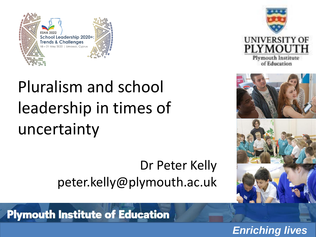



# Pluralism and school leadership in times of uncertainty

Dr Peter Kelly peter.kelly@plymouth.ac.uk



**Plymouth Institute of Education**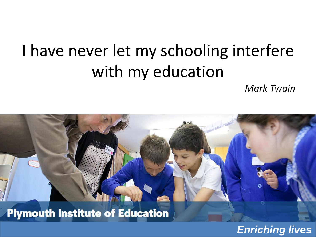## I have never let my schooling interfere with my education

*Mark Twain*

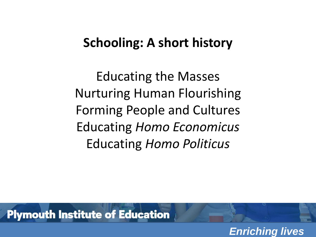### **Schooling: A short history**

Educating the Masses Nurturing Human Flourishing Forming People and Cultures Educating *Homo Economicus* Educating *Homo Politicus*

**Plymouth Institute of Education**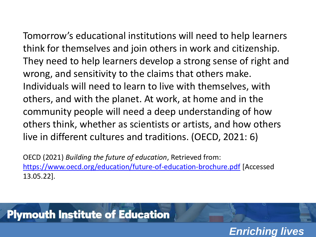Tomorrow's educational institutions will need to help learners think for themselves and join others in work and citizenship. They need to help learners develop a strong sense of right and wrong, and sensitivity to the claims that others make. Individuals will need to learn to live with themselves, with others, and with the planet. At work, at home and in the community people will need a deep understanding of how others think, whether as scientists or artists, and how others live in different cultures and traditions. (OECD, 2021: 6)

OECD (2021) *Building the future of education*, Retrieved from: <https://www.oecd.org/education/future-of-education-brochure.pdf> [Accessed 13.05.22].

*Enriching lives*

## **Plymouth Institute of Education**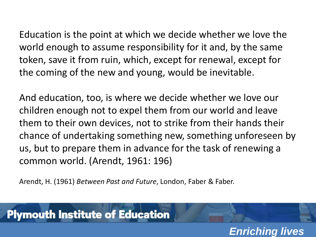Education is the point at which we decide whether we love the world enough to assume responsibility for it and, by the same token, save it from ruin, which, except for renewal, except for the coming of the new and young, would be inevitable.

And education, too, is where we decide whether we love our children enough not to expel them from our world and leave them to their own devices, not to strike from their hands their chance of undertaking something new, something unforeseen by us, but to prepare them in advance for the task of renewing a common world. (Arendt, 1961: 196)

Arendt, H. (1961) *Between Past and Future*, London, Faber & Faber.

#### **Plymouth Institute of Education**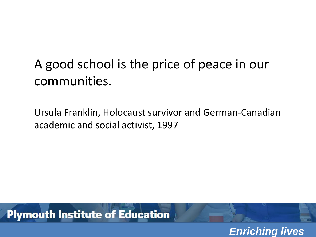## A good school is the price of peace in our communities.

Ursula Franklin, Holocaust survivor and German-Canadian academic and social activist, 1997

**Plymouth Institute of Education**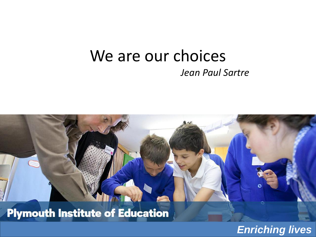### We are our choices *Jean Paul Sartre*

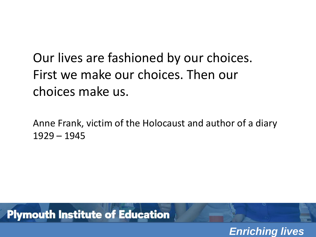Our lives are fashioned by our choices. First we make our choices. Then our choices make us.

Anne Frank, victim of the Holocaust and author of a diary 1929 – 1945

**Plymouth Institute of Education**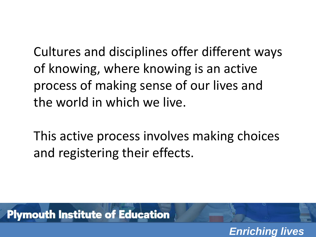Cultures and disciplines offer different ways of knowing, where knowing is an active process of making sense of our lives and the world in which we live.

This active process involves making choices and registering their effects.

*Enriching lives*

**Plymouth Institute of Education**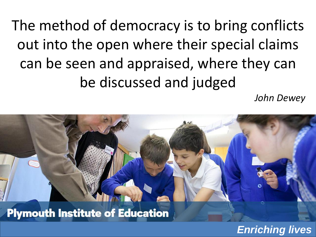The method of democracy is to bring conflicts out into the open where their special claims can be seen and appraised, where they can be discussed and judged

*John Dewey*

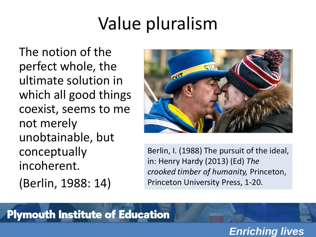## Value pluralism

The notion of the perfect whole, the ultimate solution in which all good things coexist, seems to me not merely unobtainable, but conceptually incoherent. (Berlin, 1988: 14)



Berlin, I. (1988) The pursuit of the ideal, in: Henry Hardy (2013) (Ed) *The crooked timber of humanity,* Princeton, Princeton University Press, 1-20.

#### **Plymouth Institute of Education**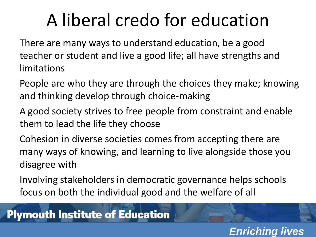# A liberal credo for education

There are many ways to understand education, be a good teacher or student and live a good life; all have strengths and limitations

- People are who they are through the choices they make; knowing and thinking develop through choice-making
- A good society strives to free people from constraint and enable them to lead the life they choose
- Cohesion in diverse societies comes from accepting there are many ways of knowing, and learning to live alongside those you disagree with
- Involving stakeholders in democratic governance helps schools focus on both the individual good and the welfare of all

### **Plymouth Institute of Education**